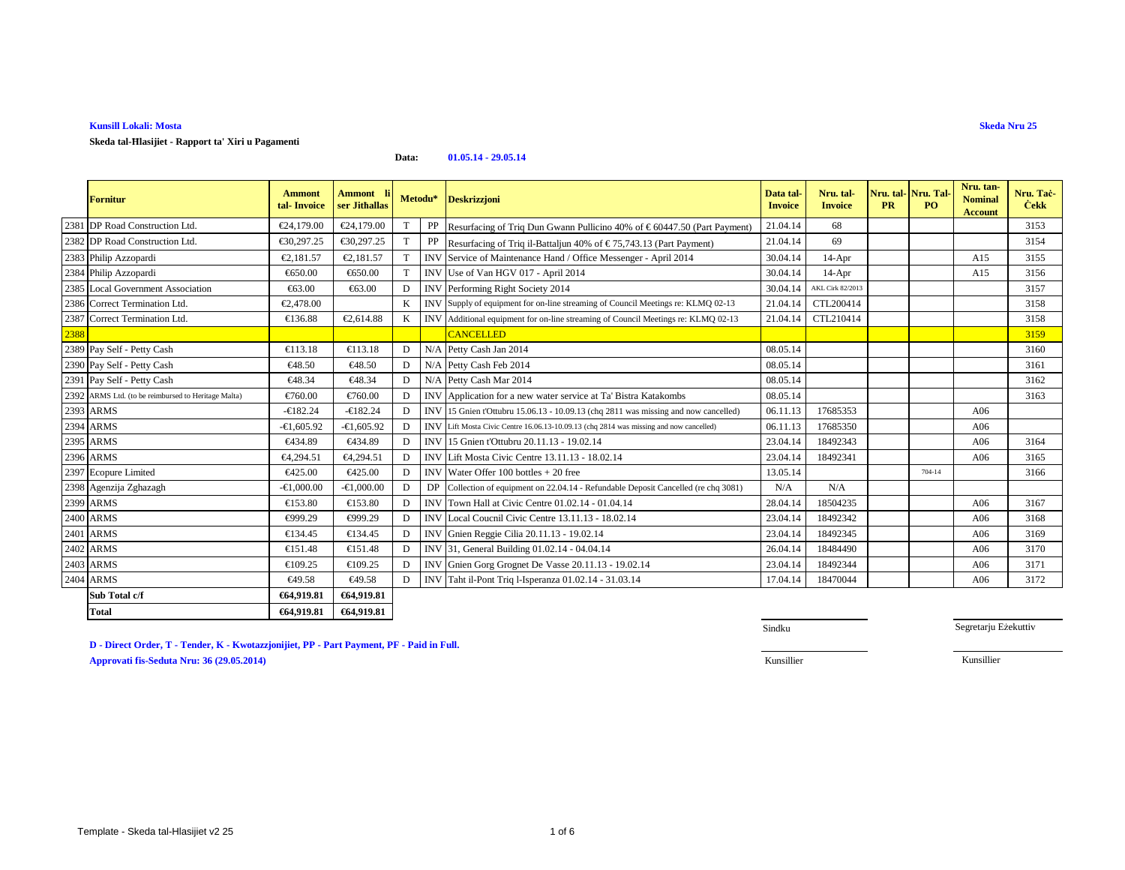**Skeda tal-Ħlasijiet - Rapport ta' Xiri u Pagamenti**

#### **Data:01.05.14 - 29.05.14**

|      | Fornitur                                            | <b>Ammont</b><br>tal-Invoice | Ammont l<br>ser Jithallas |   | Metodu*    | <b>Deskrizzjoni</b>                                                                   | Data tal<br><b>Invoice</b> | Nru. tal-<br><b>Invoice</b> | <b>PR</b> | Nru. tal- Nru. Tal-<br>PO. | Nru. tan-<br><b>Nominal</b><br><b>Account</b> | Nru. Tac-<br><b>Cekk</b> |
|------|-----------------------------------------------------|------------------------------|---------------------------|---|------------|---------------------------------------------------------------------------------------|----------------------------|-----------------------------|-----------|----------------------------|-----------------------------------------------|--------------------------|
|      | 2381 DP Road Construction Ltd.                      | €24,179.00                   | €24,179.00                | T |            | PP Resurfacing of Triq Dun Gwann Pullicino 40% of € 60447.50 (Part Payment)           | 21.04.14                   | 68                          |           |                            |                                               | 3153                     |
|      | 2382 DP Road Construction Ltd.                      | €30,297.25                   | €30,297.25                | T |            | PP Resurfacing of Triq il-Battaljun 40% of $\in$ 75,743.13 (Part Payment)             | 21.04.14                   | 69                          |           |                            |                                               | 3154                     |
|      | 2383 Philip Azzopardi                               | €2,181.57                    | €2,181.57                 |   | <b>INV</b> | Service of Maintenance Hand Office Messenger - April 2014                             | 30.04.14                   | $14-Apr$                    |           |                            | A15                                           | 3155                     |
|      | 2384 Philip Azzopardi                               | €650.00                      | €650.00                   | T |            | INV Use of Van HGV 017 - April 2014                                                   | 30.04.14                   | $14-Apr$                    |           |                            | A15                                           | 3156                     |
|      | 2385 Local Government Association                   | €63.00                       | €63.00                    | D |            | INV Performing Right Soiety 2014                                                      | 30.04.14                   | AKL Cirk 82/2013            |           |                            |                                               | 3157                     |
|      | 2386 Correct Termination Ltd.                       | €2,478.00                    |                           | K |            | INV Supply of equipment for on-line streaming of Council Meetings re: KLMQ 02-13      | 21.04.14                   | CTL200414                   |           |                            |                                               | 3158                     |
|      | 2387 Correct Termination Ltd.                       | €136.88                      | €2,614.88                 |   |            | INV Additional equipment for on-line streaming of Council Meetings re: KLMQ 02-13     | 21.04.14                   | CTL210414                   |           |                            |                                               | 3158                     |
| 2388 |                                                     |                              |                           |   |            | <b>CANCELLED</b>                                                                      |                            |                             |           |                            |                                               | 3159                     |
|      | 2389 Pay Self - Petty Cash                          | €113.18                      | €113.18                   | D | N/A        | Petty Cash Jan 2014                                                                   | 08.05.14                   |                             |           |                            |                                               | 3160                     |
|      | 2390 Pay Self - Petty Cash                          | €48.50                       | €48.50                    | D | N/A        | Petty Cash Feb 2014                                                                   | 08.05.14                   |                             |           |                            |                                               | 3161                     |
|      | 2391 Pay Self - Petty Cash                          | €48.34                       | €48.34                    | D | N/A        | Petty Cash Mar 2014                                                                   | 08.05.14                   |                             |           |                            |                                               | 3162                     |
|      | 2392 ARMS Ltd. (to be reimbursed to Heritage Malta) | €760.00                      | €760.00                   | D |            | INV Application for a new water service at Ta' Bista Katakombs                        | 08.05.14                   |                             |           |                            |                                               | 3163                     |
|      | 2393 ARMS                                           | $-6182.24$                   | $-6182.24$                | D |            | INV 15 Gnien t'Ottubru 15.06.13 - 10.09.13 (chq 2811 was missing and now cancelled)   | 06.11.13                   | 17685353                    |           |                            | A06                                           |                          |
|      | 2394 ARMS                                           | $-€1,605.92$                 | $-61,605.92$              | D |            | INVLift Mosta Civic Centre 16.06.13-10.09.13 (chq 2814 was missing and now cancelled) | 06.11.13                   | 17685350                    |           |                            | A06                                           |                          |
|      | 2395 ARMS                                           | €434.89                      | €434.89                   | D | <b>INV</b> | 15 Gnien t'Ottubru 20.11.13 - 19.02.14                                                | 23.04.14                   | 18492343                    |           |                            | A06                                           | 3164                     |
|      | 2396 ARMS                                           | €4,294.51                    | €4,294.51                 | D | <b>INV</b> | Lift Mosta Civic Centre 13.11.13 - 18.02.14                                           | 23.04.14                   | 18492341                    |           |                            | A06                                           | 3165                     |
|      | 2397 Ecopure Limited                                | €425.00                      | €425.00                   | D | <b>INV</b> | Water Offer $100$ bottles $+20$ free                                                  | 13.05.14                   |                             |           | 704-14                     |                                               | 3166                     |
|      | 2398 Agenzija Zghazagh                              | $-€1,000.00$                 | $-€1,000.00$              | D |            | DP Collection of equipment on 22.04.14 - Refundable Deposit Cancelled (re chq 3081)   | N/A                        | N/A                         |           |                            |                                               |                          |
|      | 2399 ARMS                                           | €153.80                      | €153.80                   | D | <b>INV</b> | Town Hall at Civic Centre 01.02.14 - 01.04.14                                         | 28.04.1                    | 18504235                    |           |                            | A06                                           | 3167                     |
|      | 2400 ARMS                                           | €999.29                      | €999.29                   | Е | <b>INV</b> | Local Coucnil Civic Centre 13.11.13 - 18.02.14                                        | 23.04.14                   | 18492342                    |           |                            | A06                                           | 3168                     |
|      | 2401 ARMS                                           | €134.45                      | €134.45                   | E | <b>INV</b> | Gnien Reggie Cilia 20.11.13 - 19.02.14                                                | 23.04.14                   | 18492345                    |           |                            | A06                                           | 3169                     |
|      | 2402 ARMS                                           | €151.48                      | €151.48                   | D |            | INV 31, General Building 01.02.14 - 04.04.14                                          | 26.04.14                   | 18484490                    |           |                            | A06                                           | 3170                     |
|      | 2403 ARMS                                           | €109.25                      | €109.25                   | D | <b>INV</b> | Gnien Gorg Grognet De Vasse 20.11.13 - 19.02.14                                       | 23.04.14                   | 18492344                    |           |                            | A06                                           | 3171                     |
|      | 2404 ARMS                                           | €49.58                       | €49.58                    | D |            | INV Taht il-Pont Triq l-Isperanza 01.02.14 - 31.03.14                                 | 17.04.14                   | 18470044                    |           |                            | A06                                           | 3172                     |
|      | Sub Total c/f                                       | €64,919.81                   | €64,919.81                |   |            |                                                                                       |                            |                             |           |                            |                                               |                          |
|      | Total                                               | €64,919.81                   | €64,919.81                |   |            |                                                                                       |                            |                             |           |                            |                                               |                          |

**D - Direct Order, T - Tender, K - Kwotazzjonijiet, PP - Part Payment, PF - Paid in Full.**

**Approvati fis-Seduta Nru: 36 (29.05.2014)**

Sindku

Segretarju Eżekuttiv

Kunsillier Kunsillier

**Skeda Nru 25**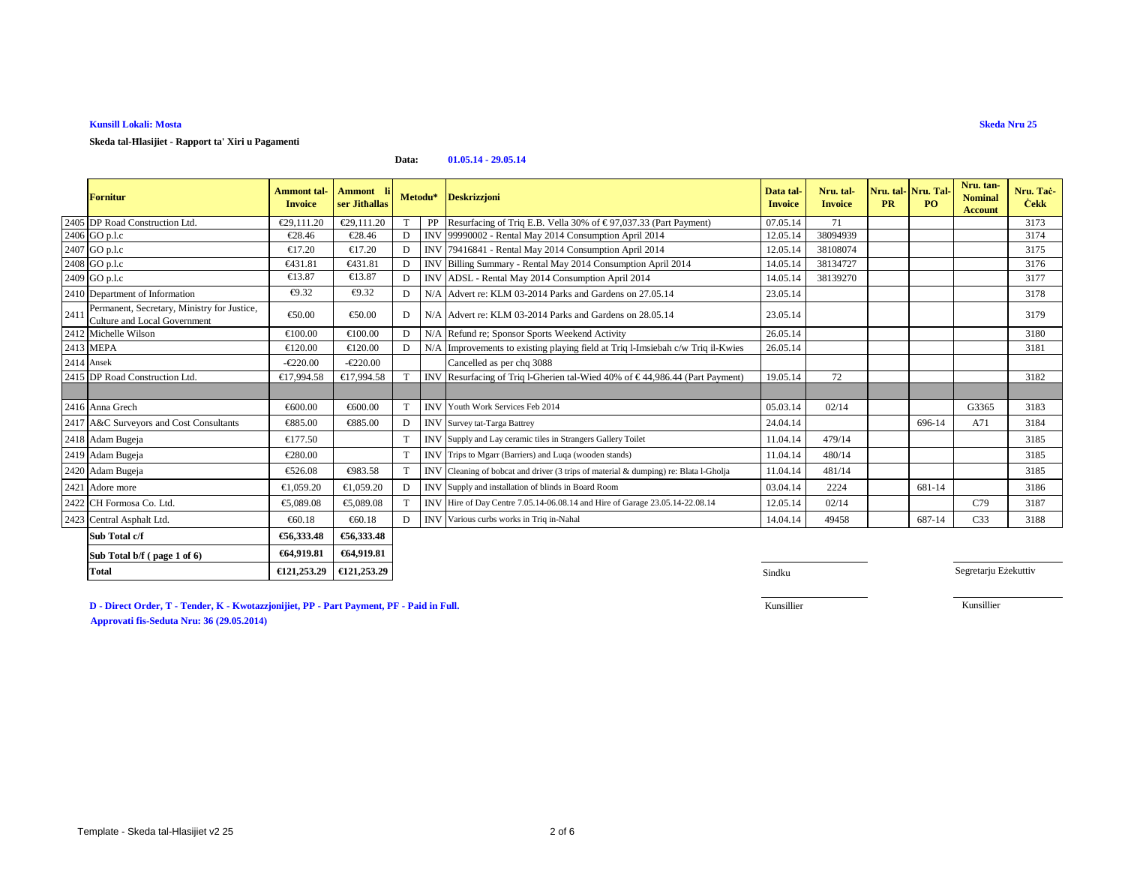**Skeda tal-Ħlasijiet - Rapport ta' Xiri u Pagamenti**

#### **Data:01.05.14 - 29.05.14**

|            | <b>Fornitur</b>                                                                    | <b>Ammont</b> tal-<br><b>Invoice</b> | Ammont li<br>ser Jithallas |   | Metodu* Deskrizzjoni                                                                 | Data tal-<br><b>Invoice</b> | Nru. tal-<br><b>Invoice</b> | <b>PR</b> | Nru. tal-Nru. Tal-<br>PO <sub>1</sub> | Nru. tan-<br><b>Nominal</b><br><b>Account</b> | Nru. Tač-<br><b>Cekk</b> |
|------------|------------------------------------------------------------------------------------|--------------------------------------|----------------------------|---|--------------------------------------------------------------------------------------|-----------------------------|-----------------------------|-----------|---------------------------------------|-----------------------------------------------|--------------------------|
|            | 2405 DP Road Construction Ltd.                                                     | €29,111.20                           | €29,111.20                 |   | PP Resurfacing of Triq E.B. Vella 30% of $\in$ 97,037.33 (Part Payment)              | 07.05.14                    | 71                          |           |                                       |                                               | 3173                     |
|            | 2406 GO p.l.c                                                                      | €28.46                               | €28.4 $\epsilon$           | D | INV 99990002 - Rental May 2014 Consumption April 2014                                | 12.05.14                    | 38094939                    |           |                                       |                                               | 3174                     |
|            | 2407 GO p.l.c                                                                      | €17.20                               | €17.20                     | D | INV 79416841 - Rental May 2014 Consumption April 2014                                | 12.05.1                     | 38108074                    |           |                                       |                                               | 3175                     |
|            | 2408 GO p.l.c                                                                      | €431.81                              | €431.81                    | D | INV Billing Summary - Rental May 2014 Consumption April 2014                         | 14.05.14                    | 38134727                    |           |                                       |                                               | 3176                     |
|            | 2409 GO p.l.c                                                                      | €13.87                               | €13.87                     | D | INV ADSL - Rental May 2014 Consumption April 2014                                    | 14.05.14                    | 38139270                    |           |                                       |                                               | 3177                     |
|            | 2410 Department of Information                                                     | €9.32                                | €9.32                      | D | N/A Advert re: KLM 03-2014 Parks and Gardens on 27.05.14                             | 23.05.14                    |                             |           |                                       |                                               | 3178                     |
| 2411       | Permanent, Secretary, Ministry for Justice,<br><b>Culture and Local Government</b> | €50.00                               | €50.00                     | D | N/A Advert re: KLM 03-2014 Parks and Gardens on 28.05.14                             | 23.05.14                    |                             |           |                                       |                                               | 3179                     |
|            | 2412 Michelle Wilson                                                               | €100.00                              | €100.00                    | D | N/A Refund re; Sponsor Sports Weekend Activity                                       | 26.05.14                    |                             |           |                                       |                                               | 3180                     |
|            | 2413 MEPA                                                                          | €120.00                              | €120.00                    | D | N/A Improvements to existing playing field at Triq Imsiebah c/w Triq il-Kwies        | 26.05.14                    |                             |           |                                       |                                               | 3181                     |
| 2414 Ansek |                                                                                    | $-\epsilon 220.00$                   | $-\epsilon 220.00$         |   | Cancelled as per chq 3088                                                            |                             |                             |           |                                       |                                               |                          |
|            | 2415 DP Road Construction Ltd.                                                     | €17,994.58                           | €17,994.58                 |   | INV Resurfacing of Triq 1-Gherien tal-Wied 40% of $\in$ 44,986.44 (Part Rayment)     | 19.05.14                    | 72                          |           |                                       |                                               | 3182                     |
|            |                                                                                    |                                      |                            |   |                                                                                      |                             |                             |           |                                       |                                               |                          |
|            | 2416 Anna Grech                                                                    | €600.00                              | €600.00                    |   | <b>INV</b> Youth Work Services Feb 2014                                              | 05.03.14                    | 02/14                       |           |                                       | G3365                                         | 3183                     |
|            | 2417 A&C Surveyors and Cost Consultants                                            | €885.00                              | €885.00                    | D | <b>INV</b> Survey tat-Targa Battrey                                                  | 24.04.14                    |                             |           | 696-14                                | A71                                           | 3184                     |
|            | 2418 Adam Bugeja                                                                   | €177.50                              |                            |   | INV Supply and Lay ceramic tiles in Strangers Gallery Toilet                         | 11.04.14                    | 479/14                      |           |                                       |                                               | 3185                     |
|            | 2419 Adam Bugeja                                                                   | €280.00                              |                            |   | INV Trips to Mgarr (Barriers) and Luqa (wooden stands)                               | 11.04.14                    | 480/14                      |           |                                       |                                               | 3185                     |
|            | 2420 Adam Bugeja                                                                   | €526.08                              | €983.58                    |   | INV Cleaning of bobcat and driver (3 trips of material & dumping) re: Blata l-Gholja | 11.04.14                    | 481/14                      |           |                                       |                                               | 3185                     |
|            | 2421 Adore more                                                                    | €1,059.20                            | €1,059.20                  | D | INV Supply and installation of blinds in Board Room                                  | 03.04.14                    | 2224                        |           | 681-14                                |                                               | 3186                     |
|            | 2422 CH Formosa Co. Ltd.                                                           | €5,089.08                            | €5,089.08                  |   | INV Hire of Day Centre 7.05.14-06.08.14 and Hire of Garage 23.05.14-22.08.14         | 12.05.14                    | 02/14                       |           |                                       | C79                                           | 3187                     |
|            | 2423 Central Asphalt Ltd.                                                          | €60.18                               | €60.18                     | D | INV Various curbs works in Triq in-Nahal                                             | 14.04.14                    | 49458                       |           | 687-14                                | C <sub>33</sub>                               | 3188                     |
|            | Sub Total c/f                                                                      | €56,333.48                           | €56,333.48                 |   |                                                                                      |                             |                             |           |                                       |                                               |                          |
|            | Sub Total b/f (page 1 of 6)                                                        | €64,919.81                           | €64,919.81                 |   |                                                                                      |                             |                             |           |                                       |                                               |                          |
|            | <b>Total</b>                                                                       | €121,253.29                          | €121,253.29                |   |                                                                                      | Sindku                      |                             |           |                                       | Segretarju Eżekuttiv                          |                          |

**D - Direct Order, T - Tender, K - Kwotazzjonijiet, PP - Part Payment, PF - Paid in Full.Approvati fis-Seduta Nru: 36 (29.05.2014)**

Kunsillier

Kunsillier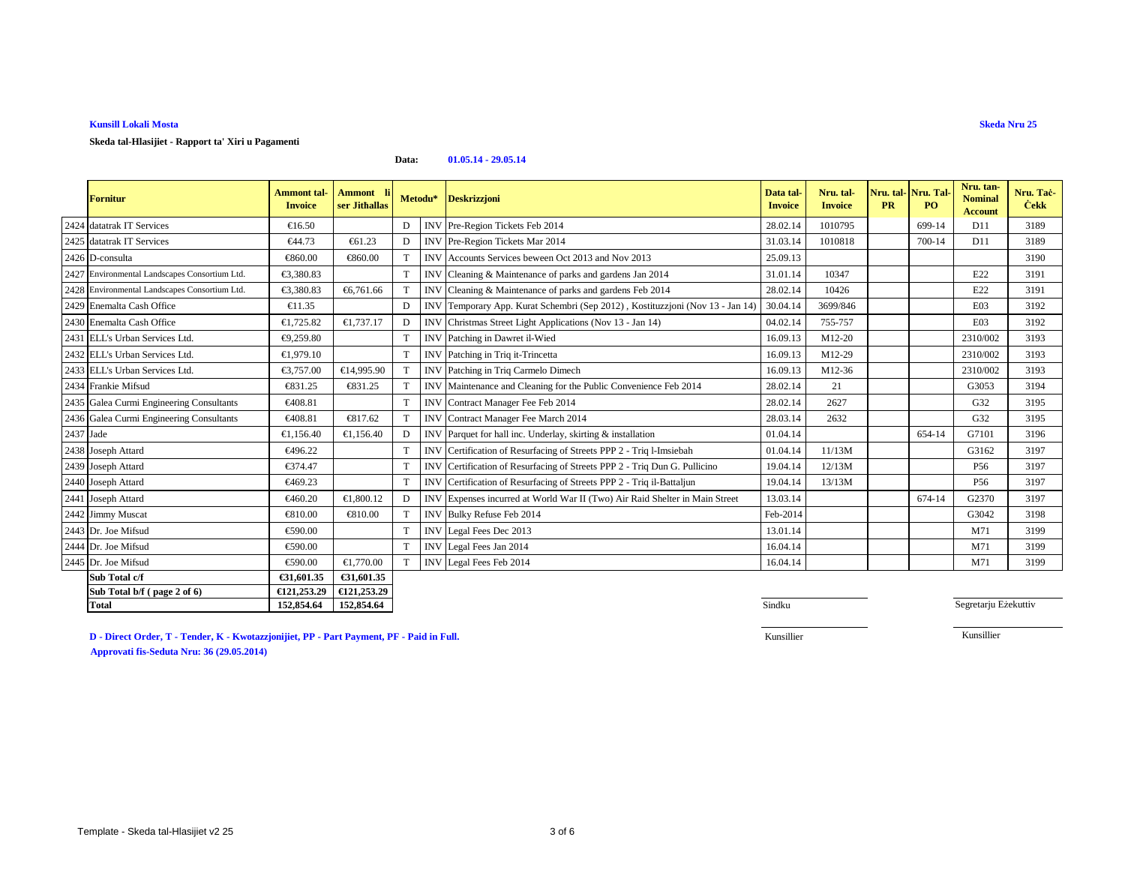**Skeda tal-Hlasijiet - Rapport ta' Xiri u Pagamenti**

#### **Data:01.05.14 - 29.05.14**

|           | <b>Fornitur</b>                               | <b>Ammont</b> tal-<br><b>Invoice</b> | <b>Ammont</b><br>ser Jithallas | Metodu* |            | <b>Deskrizzjoni</b>                                                        | Data tal-<br><b>Invoice</b> | Nru. tal-<br><b>Invoice</b> | Nru. tal-<br><b>PR</b> | Nru. Tal<br>PO. | Nru. tan-<br><b>Nominal</b><br><b>Account</b> | Nru. Tac-<br><b>Cekk</b> |
|-----------|-----------------------------------------------|--------------------------------------|--------------------------------|---------|------------|----------------------------------------------------------------------------|-----------------------------|-----------------------------|------------------------|-----------------|-----------------------------------------------|--------------------------|
|           | 2424 datatrak IT Services                     | €16.50                               |                                | D       | <b>INV</b> | Pre-Region Tickets Feb 2014                                                | 28.02.14                    | 1010795                     |                        | 699-14          | D11                                           | 3189                     |
|           | 2425 datatrak IT Services                     | €44.73                               | €61.23                         | D       |            | INV Pre-Region Tickets Mar 2014                                            | 31.03.14                    | 1010818                     |                        | 700-14          | D11                                           | 3189                     |
|           | 2426 D-consulta                               | €860.00                              | €860.00                        |         |            | INV Accounts Services beween Oct 2013 and Nov2013                          | 25.09.13                    |                             |                        |                 |                                               | 3190                     |
|           | 2427 Environmental Landscapes Consortium Ltd. | €3,380.83                            |                                | T       | <b>INV</b> | Cleaning & Maintenance of parks and gardens Jan 2014                       | 31.01.14                    | 10347                       |                        |                 | E22                                           | 3191                     |
|           | 2428 Environmental Landscapes Consortium Ltd. | €3,380.83                            | €6,761.66                      |         |            | INV Cleaning & Maintenance of parks and gardens Fb 2014                    | 28.02.14                    | 10426                       |                        |                 | E22                                           | 3191                     |
|           | 2429 Enemalta Cash Office                     | €11.35                               |                                | D       | <b>INV</b> | Temporary App. Kurat Schembri(Sep 2012), Kostituzzjoni (Nov 13 - Jan 14)   | 30.04.14                    | 3699/846                    |                        |                 | E03                                           | 3192                     |
|           | 2430 Enemalta Cash Office                     | €1,725.82                            | €1,737.17                      | D       |            | INV Christmas Street Ligt Applications (Nov 13 - Jan 14)                   | 04.02.14                    | 755-757                     |                        |                 | E03                                           | 3192                     |
|           | 2431 ELL's Urban Services Ltd.                | €9,259.80                            |                                | T       | <b>INV</b> | Patching in Dawret I-Wied                                                  | 16.09.13                    | M12-20                      |                        |                 | 2310/002                                      | 3193                     |
|           | 2432 ELL's Urban Services Ltd.                | €1,979.10                            |                                | T       |            | INV Patching in Triq it-Trincetta                                          | 16.09.13                    | M12-29                      |                        |                 | 2310/002                                      | 3193                     |
|           | 2433 ELL's Urban Services Ltd.                | €3,757.00                            | €14,995.90                     |         |            | INV Patching in Triq Cirmelo Dimech                                        | 16.09.13                    | M12-36                      |                        |                 | 2310/002                                      | 3193                     |
|           | 2434 Frankie Mifsud                           | €831.25                              | €831.25                        |         |            | INV Maintenance and Cleaning for the Public Convenience Feb 2014           | 28.02.14                    | 21                          |                        |                 | G3053                                         | 3194                     |
|           | 2435 Galea Curmi Engineering Consultants      | €408.81                              |                                | T       | <b>INV</b> | Contract Manager Fee Feb 2014                                              | 28.02.14                    | 2627                        |                        |                 | G32                                           | 3195                     |
|           | 2436 Galea Curmi Engineering Consultants      | €408.81                              | €817.62                        |         |            | INV ContractManager Fee March 2014                                         | 28.03.14                    | 2632                        |                        |                 | G32                                           | 3195                     |
| 2437 Jade |                                               | €1,156.40                            | €1,156.40                      | D       |            | INV Parquet for hall inc. Underlay, skirting & intallation                 | 01.04.14                    |                             |                        | 654-14          | G7101                                         | 3196                     |
|           | 2438 Joseph Attard                            | €496.22                              |                                | T       | <b>INV</b> | Certification of Resurfacing of Streets PPP 2 - Triq l-Imsiebah            | 01.04.14                    | 11/13M                      |                        |                 | G3162                                         | 3197                     |
|           | 2439 Joseph Attard                            | €374.47                              |                                | T       | <b>INV</b> | Certification of Resurfacing of Streets PPP 2 - Triq Dun G. Pullicino      | 19.04.14                    | 12/13M                      |                        |                 | P <sub>56</sub>                               | 3197                     |
|           | 2440 Joseph Attard                            | €469.23                              |                                | T       | <b>INV</b> | Certification of Resurfacing of Streets PPP 2 - Triq il-Battaljun          | 19.04.14                    | 13/13M                      |                        |                 | P56                                           | 3197                     |
|           | 2441 Joseph Attard                            | €460.20                              | €1,800.12                      | D       |            | INV Expenses incurred at World War II(Two) Air Raid Shelter in Main Street | 13.03.14                    |                             |                        | 674-14          | G2370                                         | 3197                     |
|           | 2442 Jimmy Muscat                             | €810.00                              | €810.00                        |         | <b>INV</b> | Bulky Refuse Feb 2014                                                      | Feb-2014                    |                             |                        |                 | G3042                                         | 3198                     |
|           | 2443 Dr. Joe Mifsud                           | €590.00                              |                                | T       | <b>INV</b> | Legal Fees Dec 2013                                                        | 13.01.14                    |                             |                        |                 | M71                                           | 3199                     |
|           | 2444 Dr. Joe Mifsud                           | €590.00                              |                                | T       | <b>INV</b> | Legal Fees Jan 2014                                                        | 16.04.14                    |                             |                        |                 | M71                                           | 3199                     |
|           | 2445 Dr. Joe Mifsud                           | €590.00                              | €1,770.00                      | T       |            | INV Legal Fees Feb 2014                                                    | 16.04.14                    |                             |                        |                 | M71                                           | 3199                     |
|           | Sub Total c/f                                 | €31,601.35                           | €31.601.35                     |         |            |                                                                            |                             |                             |                        |                 |                                               |                          |
|           | Sub Total b/f (page 2 of 6)                   | €121,253.29                          | €121,253.29                    |         |            |                                                                            |                             |                             |                        |                 |                                               |                          |
|           | <b>Total</b>                                  | 152,854.64                           | 152,854.64                     |         |            |                                                                            | Sindku                      |                             |                        |                 | Segretarju Eżekuttiv                          |                          |

**D - Direct Order, T - Tender, K - Kwotazzjonijiet, PP - Part Payment, PF - Paid in Full.Approvati fis-Seduta Nru: 36 (29.05.2014)**

**4** Sindku

Kunsillier

Kunsillier

**Skeda Nru 25**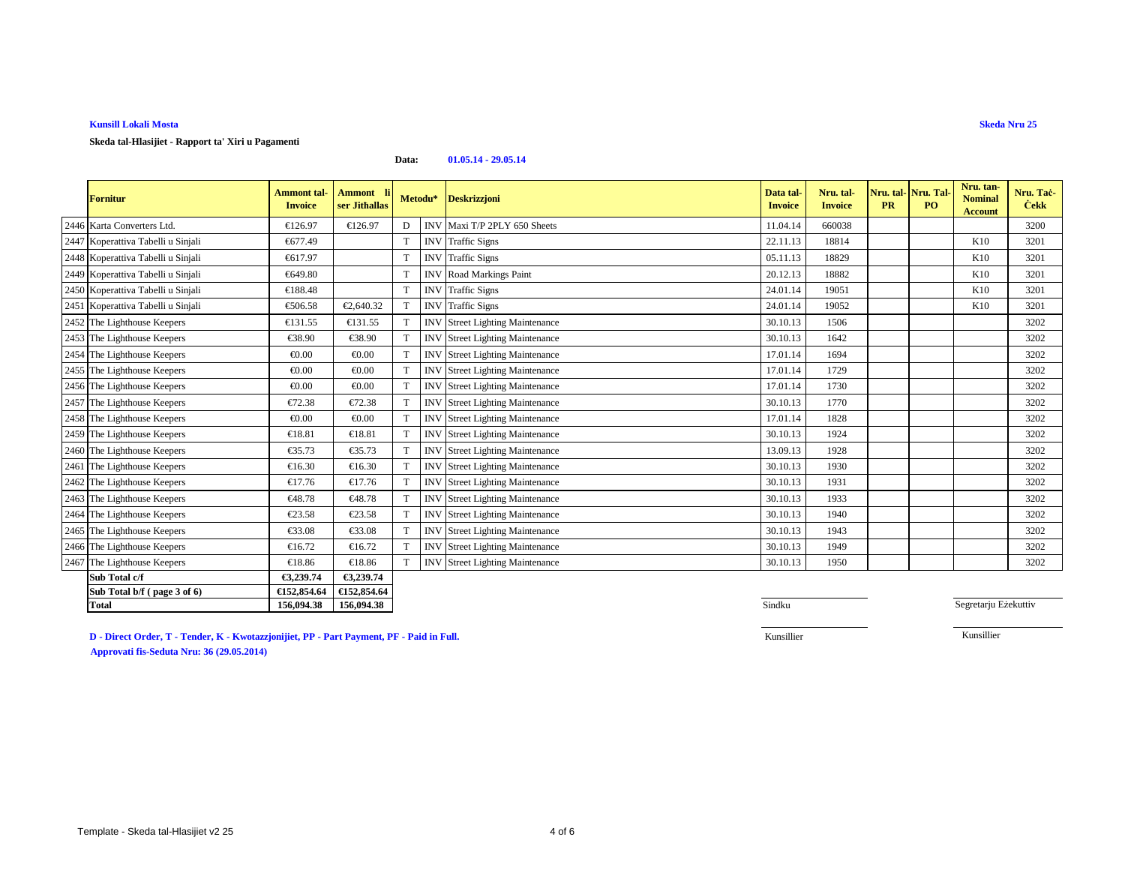**Skeda tal-Hlasijiet - Rapport ta' Xiri u Pagamenti**

#### **Data:01.05.14 - 29.05.14**

| <b>Fornitur</b>                    | <b>Ammont</b> tal-<br><b>Invoice</b> | Ammont li<br>ser Jithallas | Metodu*     |            | <b>Deskrizzjoni</b>               | Data tal<br><b>Invoice</b> | Nru. tal-<br><b>Invoice</b> | <b>PR</b> | Nru. tal- Nru. Tal<br>PO <sub>1</sub> | Nru. tan-<br><b>Nominal</b><br><b>Account</b> | Nru. Tač-<br><b>Cekk</b> |
|------------------------------------|--------------------------------------|----------------------------|-------------|------------|-----------------------------------|----------------------------|-----------------------------|-----------|---------------------------------------|-----------------------------------------------|--------------------------|
| 2446 Karta Converters Ltd.         | €126.97                              | €126.97                    | D           |            | INV Maxi T/P 2PLY 650 Sheets      | 11.04.14                   | 660038                      |           |                                       |                                               | 3200                     |
| 2447 Koperattiva Tabelli u Sinjali | €677.49                              |                            | T           | <b>INV</b> | <b>Traffic Signs</b>              | 22.11.13                   | 18814                       |           |                                       | K10                                           | 3201                     |
| 2448 Koperattiva Tabelli u Sinjali | €617.97                              |                            | T           | <b>INV</b> | <b>Traffic Signs</b>              | 05.11.13                   | 18829                       |           |                                       | K10                                           | 3201                     |
| 2449 Koperattiva Tabelli u Sinjali | €649.80                              |                            | $\mathbf T$ | <b>INV</b> | Road Markings Paint               | 20.12.13                   | 18882                       |           |                                       | K10                                           | 3201                     |
| 2450 Koperattiva Tabelli u Sinjali | €188.48                              |                            | T           | <b>INV</b> | <b>Traffic Signs</b>              | 24.01.14                   | 19051                       |           |                                       | K10                                           | 3201                     |
| 2451 Koperattiva Tabelli u Sinjali | €506.58                              | €2,640.32                  |             | <b>INV</b> | <b>Traffic Signs</b>              | 24.01.14                   | 19052                       |           |                                       | K10                                           | 3201                     |
| 2452 The Lighthouse Keepers        | €131.55                              | €131.55                    |             | IN         | <b>Street Lighting Mainteance</b> | 30.10.13                   | 1506                        |           |                                       |                                               | 3202                     |
| 2453 The Lighthouse Keepers        | €38.90                               | €38.90                     | T           | <b>IN'</b> | <b>Street Lighting Mainteance</b> | 30.10.13                   | 1642                        |           |                                       |                                               | 3202                     |
| 2454 The Lighthouse Keepers        | € $0.00$                             | € $0.00$                   |             | <b>INV</b> | <b>Street Lighting Mainteance</b> | 17.01.14                   | 1694                        |           |                                       |                                               | 3202                     |
| 2455 The Lighthouse Keepers        | € $0.00$                             | € $0.00$                   | $\mathbf T$ | <b>INV</b> | <b>Street Lighting Mainteance</b> | 17.01.14                   | 1729                        |           |                                       |                                               | 3202                     |
| 2456 The Lighthouse Keepers        | € $0.00$                             | € $0.00$                   |             | IN         | <b>Street Lighting Mainteance</b> | 17.01.14                   | 1730                        |           |                                       |                                               | 3202                     |
| 2457 The Lighthouse Keepers        | €72.38                               | €72.38                     | T           | <b>IN</b>  | <b>Street Lighting Mainteance</b> | 30.10.13                   | 1770                        |           |                                       |                                               | 3202                     |
| 2458 The Lighthouse Keepers        | € $0.00$                             | € $0.00$                   |             | <b>INV</b> | <b>Street Lighting Mainteance</b> | 17.01.14                   | 1828                        |           |                                       |                                               | 3202                     |
| 2459 The Lighthouse Keepers        | €18.81                               | €18.81                     | $\mathbf T$ | <b>IN'</b> | <b>Street Lighting Mainteance</b> | 30.10.13                   | 1924                        |           |                                       |                                               | 3202                     |
| 2460 The Lighthouse Keepers        | €35.73                               | €35.73                     |             | IN         | <b>Street Lighting Mainteance</b> | 13.09.13                   | 1928                        |           |                                       |                                               | 3202                     |
| 2461 The Lighthouse Keepers        | €16.30                               | €16.30                     | $\mathbf T$ | <b>IN'</b> | <b>Street Lighting Mainteance</b> | 30.10.13                   | 1930                        |           |                                       |                                               | 3202                     |
| 2462 The Lighthouse Keepers        | €17.76                               | €17.76                     |             | <b>INV</b> | <b>Street Lighting Mainteance</b> | 30.10.13                   | 1931                        |           |                                       |                                               | 3202                     |
| 2463 The Lighthouse Keepers        | €48.78                               | €48.78                     | T           | <b>INV</b> | <b>Street Lighting Mainteance</b> | 30.10.13                   | 1933                        |           |                                       |                                               | 3202                     |
| 2464 The Lighthouse Keepers        | €23.58                               | €23.58                     |             | <b>IN'</b> | <b>Street Lighting Mainteance</b> | 30.10.13                   | 1940                        |           |                                       |                                               | 3202                     |
| 2465 The Lighthouse Keepers        | €33.08                               | €33.08                     | T           | <b>IN'</b> | <b>Street Lighting Mainteance</b> | 30.10.13                   | 1943                        |           |                                       |                                               | 3202                     |
| 2466 The Lighthouse Keepers        | €16.72                               | €16.72                     | $\mathbf T$ | <b>INV</b> | <b>Street Lighting Mainteance</b> | 30.10.13                   | 1949                        |           |                                       |                                               | 3202                     |
| 2467 The Lighthouse Keepers        | €18.86                               | €18.86                     | T           | <b>INV</b> | <b>Street Lighting Mainteance</b> | 30.10.13                   | 1950                        |           |                                       |                                               | 3202                     |
| Sub Total c/f                      | €3,239.74                            | €3,239.74                  |             |            |                                   |                            |                             |           |                                       |                                               |                          |
| Sub Total b/f (page 3 of 6)        | €152,854.64                          | €152,854.64                |             |            |                                   |                            |                             |           |                                       |                                               |                          |
| <b>Total</b>                       | 156,094.38                           | 156,094.38                 |             |            |                                   | Sindku                     |                             |           |                                       | Segretarju Eżekuttiv                          |                          |

**D - Direct Order, T - Tender, K - Kwotazzjonijiet, PP - Part Payment, PF - Paid in Full.Approvati fis-Seduta Nru: 36 (29.05.2014)**

8 Sindku

Kunsillier

Kunsillier

**Skeda Nru 25**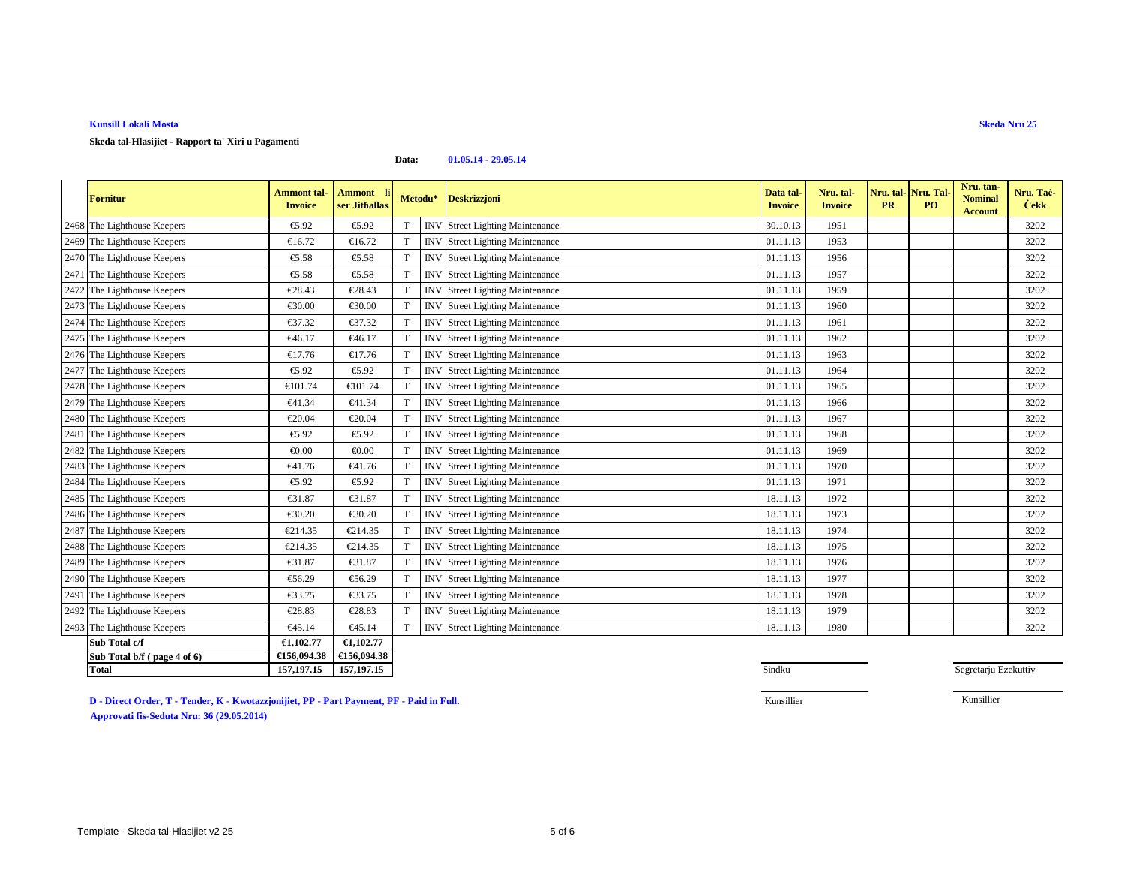**Skeda tal-Hlasijiet - Rapport ta' Xiri u Pagamenti**

#### **Data:01.05.14 - 29.05.14**

| <b>Fornitur</b>             | <b>Ammont</b> tal-<br><b>Invoice</b> | <b>Ammont</b><br>ser Jithallas | Metodu*     |            | <b>Deskrizzjoni</b>               | Data tal<br><b>Invoice</b> | Nru. tal-<br><b>Invoice</b> | Nru. tal-Nru. Tal<br><b>PR</b> | PO <sub>1</sub> | Nru. tan-<br><b>Nominal</b><br><b>Account</b> | Nru. Tac-<br><b>Cekk</b> |
|-----------------------------|--------------------------------------|--------------------------------|-------------|------------|-----------------------------------|----------------------------|-----------------------------|--------------------------------|-----------------|-----------------------------------------------|--------------------------|
| 2468 The Lighthouse Keepers | €5.92                                | €5.92                          | $\mathbf T$ | <b>INV</b> | Street Lighting Mainteance        | 30.10.13                   | 1951                        |                                |                 |                                               | 3202                     |
| 2469 The Lighthouse Keepers | €16.72                               | €16.72                         | T           | <b>INV</b> | <b>Street Lighting Mainteance</b> | 01.11.13                   | 1953                        |                                |                 |                                               | 3202                     |
| 2470 The Lighthouse Keepers | €5.58                                | €5.58                          | T           | <b>INV</b> | <b>Street Lighting Mainteance</b> | 01.11.13                   | 1956                        |                                |                 |                                               | 3202                     |
| 2471 The Lighthouse Keepers | €5.58                                | €5.58                          | T           | <b>INV</b> | Street Lighting Mainteance        | 01.11.13                   | 1957                        |                                |                 |                                               | 3202                     |
| 2472 The Lighthouse Keepers | €28.43                               | €28.43                         | т           | <b>INV</b> | <b>Street Lighting Mainteance</b> | 01.11.13                   | 1959                        |                                |                 |                                               | 3202                     |
| 2473 The Lighthouse Keepers | €30.00                               | €30.00                         | T           | <b>INV</b> | <b>Street Lighting Mainteance</b> | 01.11.13                   | 1960                        |                                |                 |                                               | 3202                     |
| 2474 The Lighthouse Keepers | €37.32                               | €37.32                         | T           | <b>IN'</b> | <b>Street Lighting Mainteance</b> | 01.11.13                   | 1961                        |                                |                 |                                               | 3202                     |
| 2475 The Lighthouse Keepers | €46.17                               | €46.17                         | T           | <b>INV</b> | <b>Street Lighting Mainteance</b> | 01.11.13                   | 1962                        |                                |                 |                                               | 3202                     |
| 2476 The Lighthouse Keepers | €17.76                               | €17.76                         |             | <b>INV</b> | <b>Street Lighting Mainteance</b> | 01.11.13                   | 1963                        |                                |                 |                                               | 3202                     |
| 2477 The Lighthouse Keepers | €5.92                                | €5.92                          | $\mathbf T$ | IN         | <b>Street Lighting Mainteance</b> | 01.11.13                   | 1964                        |                                |                 |                                               | 3202                     |
| 2478 The Lighthouse Keepers | €101.74                              | €101.74                        | T           | <b>IN'</b> | <b>Street Lighting Mainteance</b> | 01.11.13                   | 1965                        |                                |                 |                                               | 3202                     |
| 2479 The Lighthouse Keepers | €41.34                               | €41.34                         | T           | <b>INV</b> | <b>Street Lighting Mainteance</b> | 01.11.13                   | 1966                        |                                |                 |                                               | 3202                     |
| 2480 The Lighthouse Keepers | €20.04                               | €20.04                         | T           | <b>INV</b> | <b>Street Lighting Mainteance</b> | 01.11.13                   | 1967                        |                                |                 |                                               | 3202                     |
| 2481 The Lighthouse Keepers | €5.92                                | €5.92                          | T           | <b>INV</b> | <b>Street Lighting Mainteance</b> | 01.11.13                   | 1968                        |                                |                 |                                               | 3202                     |
| 2482 The Lighthouse Keepers | € $0.00$                             | € $0.00$                       | $\mathbf T$ | <b>IN'</b> | <b>Street Lighting Mainteance</b> | 01.11.13                   | 1969                        |                                |                 |                                               | 3202                     |
| 2483 The Lighthouse Keepers | €41.76                               | €41.76                         | T           | <b>IN'</b> | <b>Street Lighting Mainteance</b> | 01.11.13                   | 1970                        |                                |                 |                                               | 3202                     |
| 2484 The Lighthouse Keepers | €5.92                                | €5.92                          | T           | <b>INV</b> | <b>Street Lighting Mainteance</b> | 01.11.13                   | 1971                        |                                |                 |                                               | 3202                     |
| 2485 The Lighthouse Keepers | €31.87                               | €31.87                         | T           | <b>INV</b> | <b>Street Lighting Mainteance</b> | 18.11.13                   | 1972                        |                                |                 |                                               | 3202                     |
| 2486 The Lighthouse Keepers | €30.20                               | €30.20                         | $\mathbf T$ | <b>INV</b> | <b>Street Lighting Mainteance</b> | 18.11.13                   | 1973                        |                                |                 |                                               | 3202                     |
| 2487 The Lighthouse Keepers | €214.35                              | €214.35                        |             | <b>INV</b> | <b>Street Lighting Mainteance</b> | 18.11.13                   | 1974                        |                                |                 |                                               | 3202                     |
| 2488 The Lighthouse Keepers | €214.35                              | €214.35                        | T           | <b>INV</b> | <b>Street Lighting Mainteance</b> | 18.11.13                   | 1975                        |                                |                 |                                               | 3202                     |
| 2489 The Lighthouse Keepers | €31.87                               | €31.87                         |             | <b>INV</b> | <b>Street Lighting Mainteance</b> | 18.11.13                   | 1976                        |                                |                 |                                               | 3202                     |
| 2490 The Lighthouse Keepers | €56.29                               | €56.29                         |             | <b>INV</b> | <b>Street Lighting Mainteance</b> | 18.11.13                   | 1977                        |                                |                 |                                               | 3202                     |
| 2491 The Lighthouse Keepers | €33.75                               | €33.75                         |             | <b>INV</b> | <b>Street Lighting Mainteance</b> | 18.11.13                   | 1978                        |                                |                 |                                               | 3202                     |
| 2492 The Lighthouse Keepers | €28.83                               | €28.83                         | $\mathbf T$ | <b>INV</b> | <b>Street Lighting Mainteance</b> | 18.11.13                   | 1979                        |                                |                 |                                               | 3202                     |
| 2493 The Lighthouse Keepers | €45.14                               | €45.14                         | T           | <b>INV</b> | <b>Street Lighting Mainteance</b> | 18.11.13                   | 1980                        |                                |                 |                                               | 3202                     |
| Sub Total c/f               | €1,102.77                            | €1,102.77                      |             |            |                                   |                            |                             |                                |                 |                                               |                          |
| Sub Total b/f (page 4 of 6) | €156,094.38                          | €156,094.38                    |             |            |                                   |                            |                             |                                |                 |                                               |                          |
| <b>Total</b>                | 157, 197. 15                         | 157, 197. 15                   |             |            |                                   | Sindku                     |                             |                                |                 | Segretarju Eżekuttiv                          |                          |

**D - Direct Order, T - Tender, K - Kwotazzjonijiet, PP - Part Payment, PF - Paid in Full.**

5 Sindku

Kunsillier

Kunsillier

# **Skeda Nru 25**

**Approvati fis-Seduta Nru: 36 (29.05.2014)**